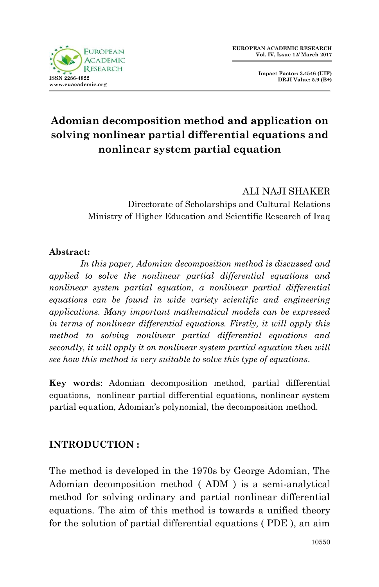

**Impact Factor: 3.4546 (UIF) DRJI Value: 5.9 (B+)**

# **Adomian decomposition method and application on solving nonlinear partial differential equations and nonlinear system partial equation**

ALI NAJI SHAKER Directorate of Scholarships and Cultural Relations Ministry of Higher Education and Scientific Research of Iraq

#### **Abstract:**

*In this paper, Adomian decomposition method is discussed and applied to solve the nonlinear partial differential equations and nonlinear system partial equation, a nonlinear partial differential equations can be found in wide variety scientific and engineering applications. Many important mathematical models can be expressed in terms of nonlinear differential equations. Firstly, it will apply this method to solving nonlinear partial differential equations and secondly, it will apply it on nonlinear system partial equation then will see how this method is very suitable to solve this type of equations.*

**Key words**: Adomian decomposition method, partial differential equations, nonlinear partial differential equations, nonlinear system partial equation, Adomian's polynomial, the decomposition method.

# **INTRODUCTION :**

The method is developed in the 1970s by George Adomian, The Adomian decomposition method ( ADM ) is a semi-analytical method for solving ordinary and partial nonlinear differential equations. The aim of this method is towards a unified theory for the solution of partial differential equations ( PDE ), an aim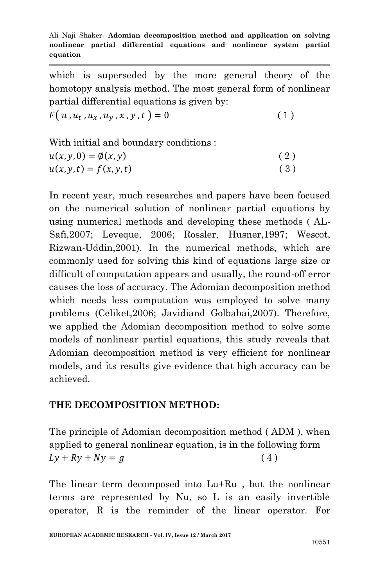which is superseded by the more general theory of the homotopy analysis method. The most general form of nonlinear partial differential equations is given by:

 $F(u, u_t, u_x, u_y, x, y, t) = 0$  (1)

| With initial and boundary conditions : |     |
|----------------------------------------|-----|
| $u(x, y, 0) = \emptyset(x, y)$         | (2) |
| $u(x, y, t) = f(x, y, t)$              | (3) |

In recent year, much researches and papers have been focused on the numerical solution of nonlinear partial equations by using numerical methods and developing these methods ( AL-Safi,2007; Leveque, 2006; Rossler, Husner,1997; Wescot, Rizwan-Uddin,2001). In the numerical methods, which are commonly used for solving this kind of equations large size or difficult of computation appears and usually, the round-off error causes the loss of accuracy. The Adomian decomposition method which needs less computation was employed to solve many problems (Celiket,2006; Javidiand Golbabai,2007). Therefore, we applied the Adomian decomposition method to solve some models of nonlinear partial equations, this study reveals that Adomian decomposition method is very efficient for nonlinear models, and its results give evidence that high accuracy can be achieved.

### **THE DECOMPOSITION METHOD:**

The principle of Adomian decomposition method ( ADM ), when applied to general nonlinear equation, is in the following form  $Ly + Ry + Ny = g$  (4)

The linear term decomposed into Lu+Ru , but the nonlinear terms are represented by Nu, so L is an easily invertible operator, R is the reminder of the linear operator. For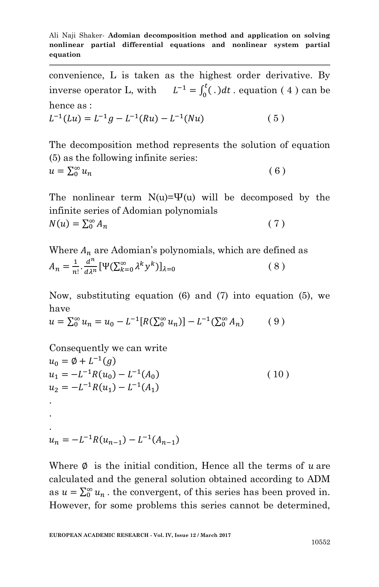convenience, L is taken as the highest order derivative. By inverse operator L, with  $L^{-1} = \int_0^L (.) dt$ . equation (4) can be hence as :

$$
L^{-1}(Lu) = L^{-1}g - L^{-1}(Ru) - L^{-1}(Nu)
$$
\n(5)

The decomposition method represents the solution of equation (5) as the following infinite series:

$$
u = \sum_{0}^{\infty} u_n \tag{6}
$$

The nonlinear term  $N(u)=\Psi(u)$  will be decomposed by the infinite series of Adomian polynomials  $N(u) = \sum_{0}^{\infty} A$  $(7)$ 

Where  $A_n$  are Adomian's polynomials, which are defined as  $A_n = \frac{1}{n}$  $rac{1}{n!} \cdot \frac{d^n}{d\lambda^n}$  $\frac{d^n}{d\lambda^n} [\Psi(\sum_{k=0}^{\infty} \lambda^k y^k)]_{\lambda=0}$  (8)

Now, substituting equation (6) and (7) into equation (5), we have

$$
u = \sum_{0}^{\infty} u_n = u_0 - L^{-1}[R(\sum_{0}^{\infty} u_n)] - L^{-1}(\sum_{0}^{\infty} A_n)
$$
 (9)

Consequently we can write  $u_0 = \emptyset + L^{-1}(g)$  $u_1 = -L^{-1}R(u_0) - L^{-1}(A)$  $(10)$  $u_2 = -L^{-1}R(u_1) - L^{-1}(A_1)$ . . .

$$
u_n = -L^{-1}R(u_{n-1}) - L^{-1}(A_{n-1})
$$

Where  $\emptyset$  is the initial condition, Hence all the terms of u are calculated and the general solution obtained according to ADM as  $u = \sum_{n=0}^{\infty} u_n$ . the convergent, of this series has been proved in. However, for some problems this series cannot be determined,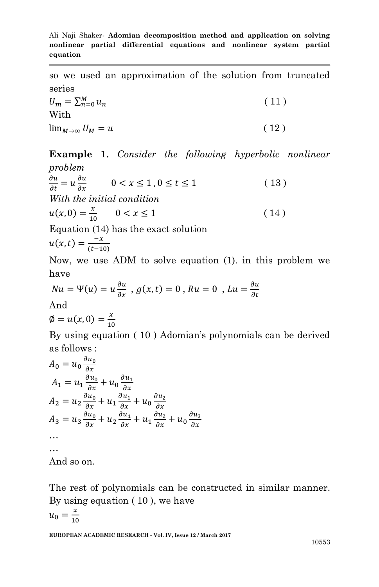so we used an approximation of the solution from truncated series

 $U_m = \sum_{n=0}^{M} u$  $(11)$ With  $\lim_{M \to \infty} U_M = u$  (12)

**Example 1.** *Consider the following hyperbolic nonlinear problem* 

 $\partial$  $\partial$  $\partial$  $\frac{\partial u}{\partial x}$  0 < x ≤ 1, 0 ≤ t ≤ 1 (13) *With the initial condition*   $u(x, 0) = \frac{x}{10}$  $\frac{x}{10}$  0 < x  $\leq$  1 (14) Equation (14) has the exact solution

$$
u(x,t)=\frac{-x}{(t-10)}
$$

Now, we use ADM to solve equation (1). in this problem we have

$$
Nu = \Psi(u) = u \frac{\partial u}{\partial x}, \ g(x, t) = 0, \ Ru = 0, \ Lu = \frac{\partial u}{\partial t}
$$

And

$$
\emptyset=u(x,0)=\frac{x}{10}
$$

By using equation ( 10 ) Adomian's polynomials can be derived as follows :

$$
A_0 = u_0 \frac{\partial u_0}{\partial x}
$$
  
\n
$$
A_1 = u_1 \frac{\partial u_0}{\partial x} + u_0 \frac{\partial u_1}{\partial x}
$$
  
\n
$$
A_2 = u_2 \frac{\partial u_0}{\partial x} + u_1 \frac{\partial u_1}{\partial x} + u_0 \frac{\partial u_2}{\partial x}
$$
  
\n
$$
A_3 = u_3 \frac{\partial u_0}{\partial x} + u_2 \frac{\partial u_1}{\partial x} + u_1 \frac{\partial u_2}{\partial x} + u_0 \frac{\partial u_3}{\partial x}
$$
  
\n...  
\nAnd so on.

The rest of polynomials can be constructed in similar manner. By using equation ( 10 ), we have  $u_0 = \frac{x}{4}$  $\mathbf{1}$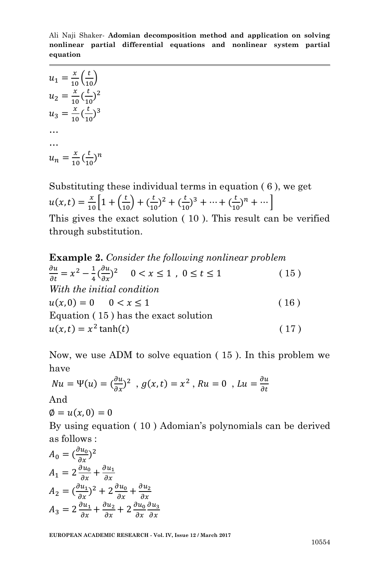Ali Naji Shaker*-* **Adomian decomposition method and application on solving nonlinear partial differential equations and nonlinear system partial equation**

 $u_1 = \frac{x}{10} \left( \frac{t}{10} \right)$  $u_2 = \frac{x}{16}$  $\frac{x}{10}$   $\left(\frac{t}{10}\right)$  $(\frac{t}{10})^2$  $u_3=\frac{x}{1}$  $\frac{x}{10}$  $\left(\frac{t}{10}\right)$  $(\frac{t}{10})^3$ … …  $u_n = \frac{x}{10}$  $\frac{x}{10}$   $\left(\frac{t}{10}\right)$  $\frac{1}{10}$ <sup>n</sup>

Substituting these individual terms in equation  $(6)$ , we get  $u(x,t) = \frac{x}{10} \left[ 1 + \left( \frac{t}{10} \right) + \left( \frac{t}{10} \right) \right]$  $(\frac{t}{10})^2 + (\frac{t}{10})^2$  $(\frac{t}{10})^3 + \cdots + (\frac{t}{10})^3$  $(\frac{1}{10})^n + \cdots$ This gives the exact solution ( 10 ). This result can be verified through substitution.

**Example 2.** *Consider the following nonlinear problem*   $\partial$ д  $\frac{1}{2}$   $\frac{1}{2}$  $\frac{1}{4}(\frac{\partial u}{\partial x})^2$   $0 < x \le 1$ ,  $0 \le t \le 1$  (15) *With the initial condition*   $u(x, 0) = 0 \t 0 < x \le 1$  (16) Equation ( 15 ) has the exact solution  $u(x,t) = x^2 \tanh(t)$  (17)

Now, we use ADM to solve equation ( 15 ). In this problem we have

$$
Nu = \Psi(u) = \left(\frac{\partial u}{\partial x}\right)^2, g(x, t) = x^2, Ru = 0, Lu = \frac{\partial u}{\partial t}
$$
  
And

 $\emptyset = u(x,0) = 0$ 

By using equation ( 10 ) Adomian's polynomials can be derived as follows :

$$
A_0 = \left(\frac{\partial u_0}{\partial x}\right)^2
$$
  
\n
$$
A_1 = 2\frac{\partial u_0}{\partial x} + \frac{\partial u_1}{\partial x}
$$
  
\n
$$
A_2 = \left(\frac{\partial u_1}{\partial x}\right)^2 + 2\frac{\partial u_0}{\partial x} + \frac{\partial u_2}{\partial x}
$$
  
\n
$$
A_3 = 2\frac{\partial u_1}{\partial x} + \frac{\partial u_2}{\partial x} + 2\frac{\partial u_0}{\partial x}\frac{\partial u_3}{\partial x}
$$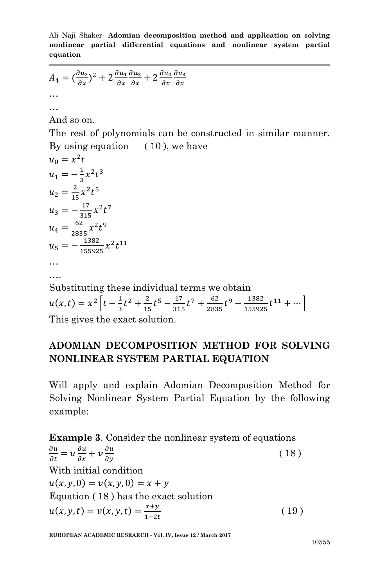Ali Naji Shaker*-* **Adomian decomposition method and application on solving nonlinear partial differential equations and nonlinear system partial equation**

$$
A_4 = \left(\frac{\partial u_2}{\partial x}\right)^2 + 2\frac{\partial u_1}{\partial x}\frac{\partial u_3}{\partial x} + 2\frac{\partial u_0}{\partial x}\frac{\partial u_4}{\partial x}
$$
  
...

And so on.

…

The rest of polynomials can be constructed in similar manner. By using equation  $(10)$ , we have

$$
u_0 = x^2t
$$
  
\n
$$
u_1 = -\frac{1}{3}x^2t^3
$$
  
\n
$$
u_2 = \frac{2}{15}x^2t^5
$$
  
\n
$$
u_3 = -\frac{17}{315}x^2t^7
$$
  
\n
$$
u_4 = \frac{62}{2835}x^2t^9
$$
  
\n
$$
u_5 = -\frac{1382}{155925}x^2t^{11}
$$
  
\n...  
\n...  
\nSubstituting these individual terms we obtain  
\n
$$
u(x,t) = x^2 \left[ t - \frac{1}{3}t^2 + \frac{2}{15}t^5 - \frac{17}{315}t^7 + \frac{62}{2835}t^9 - \frac{1382}{155925}t^{11} + \cdots \right]
$$

This gives the exact solution.

# **ADOMIAN DECOMPOSITION METHOD FOR SOLVING NONLINEAR SYSTEM PARTIAL EQUATION**

Will apply and explain Adomian Decomposition Method for Solving Nonlinear System Partial Equation by the following example:

**Example 3**. Consider the nonlinear system of equations  $\partial$  $\partial$  $\partial$  $\partial$  $\partial$  $\frac{\partial u}{\partial y}$  (18) With initial condition  $u(x, y, 0) = v(x, y, 0) = x + y$ Equation ( 18 ) has the exact solution  $u(x, y, t) = v(x, y, t) = \frac{x}{4}$  $\mathbf{1}$ ( 19 )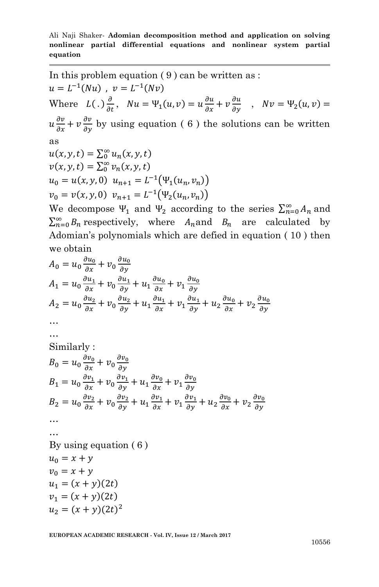In this problem equation ( 9 ) can be written as :  $u = L^{-1}(Nu)$ ,  $v = L^{-1}(Nv)$ Where  $L(.)\frac{\partial}{\partial t}$ ,  $Nu = \Psi_1(u,v) = u\frac{\partial}{\partial t}$  $\partial$  $\frac{\partial u}{\partial y}$ ,  $Nv = \Psi_2(u, v) =$  $u\frac{\partial}{\partial x}$  $\partial$  $\frac{\partial v}{\partial y}$  by using equation (6) the solutions can be written as  $u(x, y, t) = \sum_{0}^{\infty} u_n(x, y, t)$  $v(x, y, t) = \sum_{0}^{\infty} v_n(x, y, t)$  $u_0 = u(x, y, 0)$   $u_{n+1} = L^{-1}(\Psi_1(u_n, v_n))$  $v_0 = v(x, y, 0)$   $v_{n+1} = L^{-1}(\Psi_2(u_n, v_n))$ We decompose  $\Psi_1$  and  $\Psi_2$  according to the series  $\sum_{n=0}^{\infty} A_n$  and  $\sum_{n=0}^{\infty} B_n$  respectively, where  $A_n$  and  $B_n$  are calculated by

Adomian's polynomials which are defied in equation ( 10 ) then

we obtain  
\n
$$
A_0 = u_0 \frac{\partial u_0}{\partial x} + v_0 \frac{\partial u_0}{\partial y}
$$
\n
$$
A_1 = u_0 \frac{\partial u_1}{\partial x} + v_0 \frac{\partial u_1}{\partial y} + u_1 \frac{\partial u_0}{\partial x} + v_1 \frac{\partial u_0}{\partial y}
$$
\n
$$
A_2 = u_0 \frac{\partial u_2}{\partial x} + v_0 \frac{\partial u_2}{\partial y} + u_1 \frac{\partial u_1}{\partial x} + v_1 \frac{\partial u_1}{\partial y} + u_2 \frac{\partial u_0}{\partial x} + v_2 \frac{\partial u_0}{\partial y}
$$
\n...\n
$$
...
$$
\nSimilarly:  
\n
$$
B_0 = u_0 \frac{\partial v_0}{\partial x} + v_0 \frac{\partial v_0}{\partial y}
$$
\n
$$
B_1 = u_0 \frac{\partial v_1}{\partial x} + v_0 \frac{\partial v_1}{\partial y} + u_1 \frac{\partial v_0}{\partial x} + v_1 \frac{\partial v_0}{\partial y}
$$
\n
$$
B_2 = u_0 \frac{\partial v_2}{\partial x} + v_0 \frac{\partial v_2}{\partial y} + u_1 \frac{\partial v_1}{\partial x} + v_1 \frac{\partial v_1}{\partial y} + u_2 \frac{\partial v_0}{\partial x} + v_2 \frac{\partial v_0}{\partial y}
$$
\n...\nBy using equation (6)  
\n
$$
u_0 = x + y
$$
\n
$$
v_0 = x + y
$$
\n
$$
u_1 = (x + y)(2t)
$$
\n
$$
u_2 = (x + y)(2t)^2
$$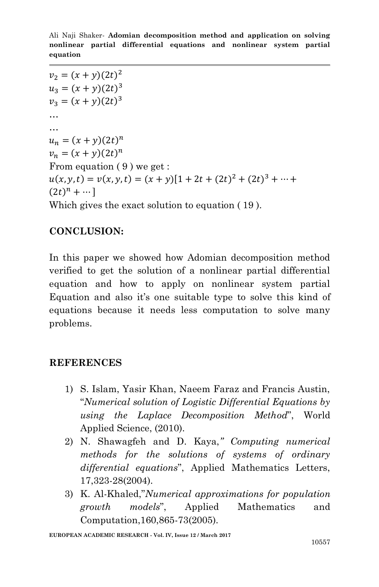$v_2 = (x + y)(2t)^2$  $u_3 = (x + y)(2t)^3$  $v_3 = (x + y)(2t)^3$ … …  $u_n = (x + y)(2t)^n$  $v_n = (x + y)(2t)^n$ From equation  $(9)$  we get:  $u(x, y, t) = v(x, y, t) = (x + y)[1 + 2t + (2t)^{2} + (2t)^{3}]$  $(2t)^n + \cdots$ ] Which gives the exact solution to equation ( 19 ).

### **CONCLUSION:**

In this paper we showed how Adomian decomposition method verified to get the solution of a nonlinear partial differential equation and how to apply on nonlinear system partial Equation and also it's one suitable type to solve this kind of equations because it needs less computation to solve many problems.

#### **REFERENCES**

- 1) S. Islam, Yasir Khan, Naeem Faraz and Francis Austin, "*Numerical solution of Logistic Differential Equations by using the Laplace Decomposition Method*", World Applied Science, (2010).
- 2) N. Shawagfeh and D. Kaya,*'' Computing numerical methods for the solutions of systems of ordinary differential equations*", Applied Mathematics Letters, 17,323-28(2004).
- 3) K. Al-Khaled,"*Numerical approximations for population growth models*", Applied Mathematics and Computation,160,865-73(2005).